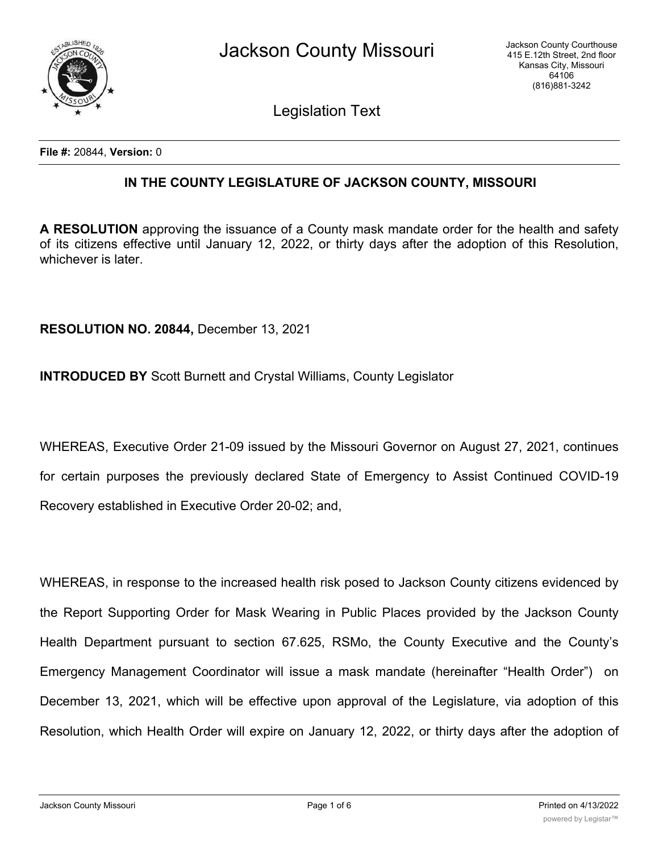

Legislation Text

**File #:** 20844, **Version:** 0

## **IN THE COUNTY LEGISLATURE OF JACKSON COUNTY, MISSOURI**

**A RESOLUTION** approving the issuance of a County mask mandate order for the health and safety of its citizens effective until January 12, 2022, or thirty days after the adoption of this Resolution, whichever is later.

**RESOLUTION NO. 20844,** December 13, 2021

**INTRODUCED BY** Scott Burnett and Crystal Williams, County Legislator

WHEREAS, Executive Order 21-09 issued by the Missouri Governor on August 27, 2021, continues for certain purposes the previously declared State of Emergency to Assist Continued COVID-19 Recovery established in Executive Order 20-02; and,

WHEREAS, in response to the increased health risk posed to Jackson County citizens evidenced by the Report Supporting Order for Mask Wearing in Public Places provided by the Jackson County Health Department pursuant to section 67.625, RSMo, the County Executive and the County's Emergency Management Coordinator will issue a mask mandate (hereinafter "Health Order") on December 13, 2021, which will be effective upon approval of the Legislature, via adoption of this Resolution, which Health Order will expire on January 12, 2022, or thirty days after the adoption of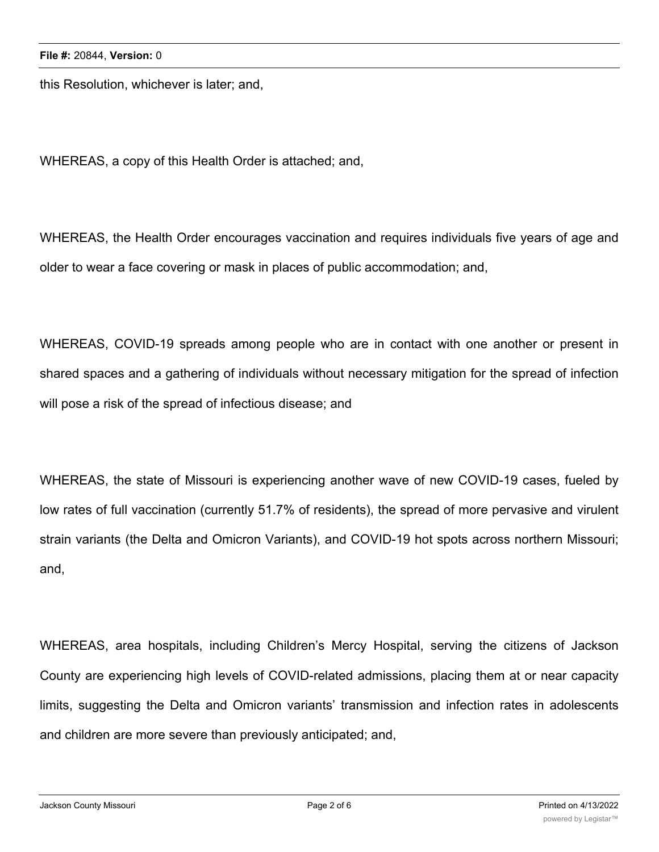this Resolution, whichever is later; and,

WHEREAS, a copy of this Health Order is attached; and,

WHEREAS, the Health Order encourages vaccination and requires individuals five years of age and older to wear a face covering or mask in places of public accommodation; and,

WHEREAS, COVID-19 spreads among people who are in contact with one another or present in shared spaces and a gathering of individuals without necessary mitigation for the spread of infection will pose a risk of the spread of infectious disease; and

WHEREAS, the state of Missouri is experiencing another wave of new COVID-19 cases, fueled by low rates of full vaccination (currently 51.7% of residents), the spread of more pervasive and virulent strain variants (the Delta and Omicron Variants), and COVID-19 hot spots across northern Missouri; and,

WHEREAS, area hospitals, including Children's Mercy Hospital, serving the citizens of Jackson County are experiencing high levels of COVID-related admissions, placing them at or near capacity limits, suggesting the Delta and Omicron variants' transmission and infection rates in adolescents and children are more severe than previously anticipated; and,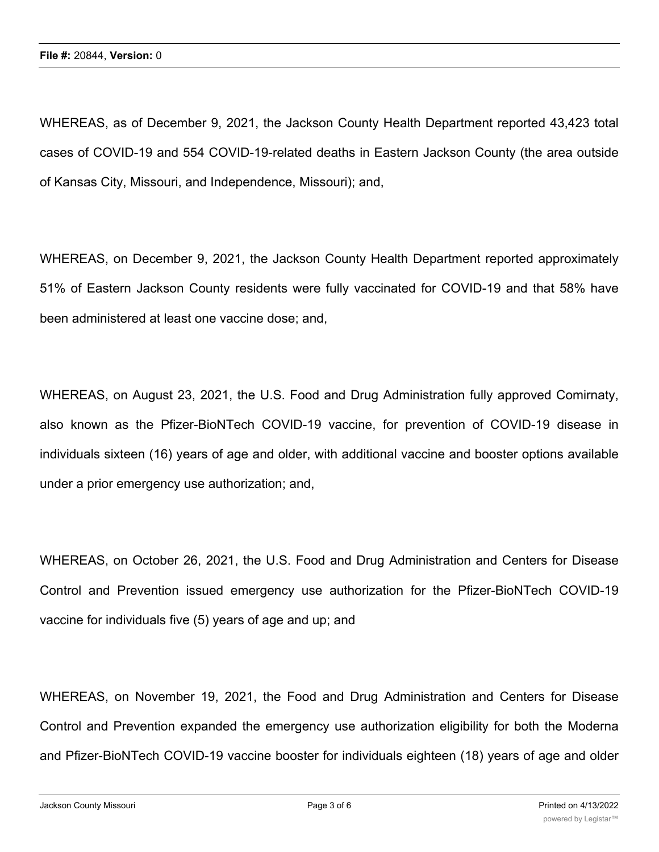WHEREAS, as of December 9, 2021, the Jackson County Health Department reported 43,423 total cases of COVID-19 and 554 COVID-19-related deaths in Eastern Jackson County (the area outside of Kansas City, Missouri, and Independence, Missouri); and,

WHEREAS, on December 9, 2021, the Jackson County Health Department reported approximately 51% of Eastern Jackson County residents were fully vaccinated for COVID-19 and that 58% have been administered at least one vaccine dose; and,

WHEREAS, on August 23, 2021, the U.S. Food and Drug Administration fully approved Comirnaty, also known as the Pfizer-BioNTech COVID-19 vaccine, for prevention of COVID-19 disease in individuals sixteen (16) years of age and older, with additional vaccine and booster options available under a prior emergency use authorization; and,

WHEREAS, on October 26, 2021, the U.S. Food and Drug Administration and Centers for Disease Control and Prevention issued emergency use authorization for the Pfizer-BioNTech COVID-19 vaccine for individuals five (5) years of age and up; and

WHEREAS, on November 19, 2021, the Food and Drug Administration and Centers for Disease Control and Prevention expanded the emergency use authorization eligibility for both the Moderna and Pfizer-BioNTech COVID-19 vaccine booster for individuals eighteen (18) years of age and older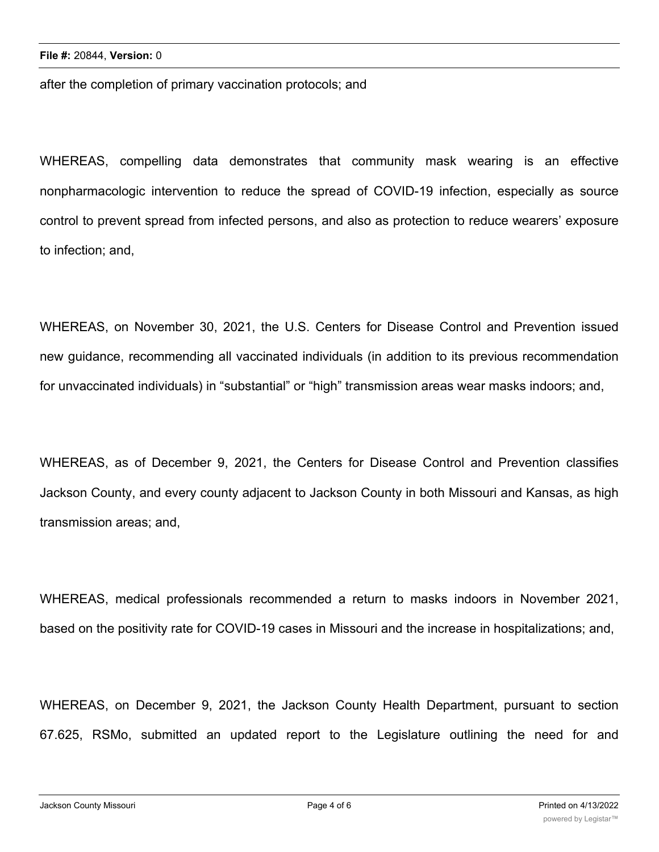after the completion of primary vaccination protocols; and

WHEREAS, compelling data demonstrates that community mask wearing is an effective nonpharmacologic intervention to reduce the spread of COVID-19 infection, especially as source control to prevent spread from infected persons, and also as protection to reduce wearers' exposure to infection; and,

WHEREAS, on November 30, 2021, the U.S. Centers for Disease Control and Prevention issued new guidance, recommending all vaccinated individuals (in addition to its previous recommendation for unvaccinated individuals) in "substantial" or "high" transmission areas wear masks indoors; and,

WHEREAS, as of December 9, 2021, the Centers for Disease Control and Prevention classifies Jackson County, and every county adjacent to Jackson County in both Missouri and Kansas, as high transmission areas; and,

WHEREAS, medical professionals recommended a return to masks indoors in November 2021, based on the positivity rate for COVID-19 cases in Missouri and the increase in hospitalizations; and,

WHEREAS, on December 9, 2021, the Jackson County Health Department, pursuant to section 67.625, RSMo, submitted an updated report to the Legislature outlining the need for and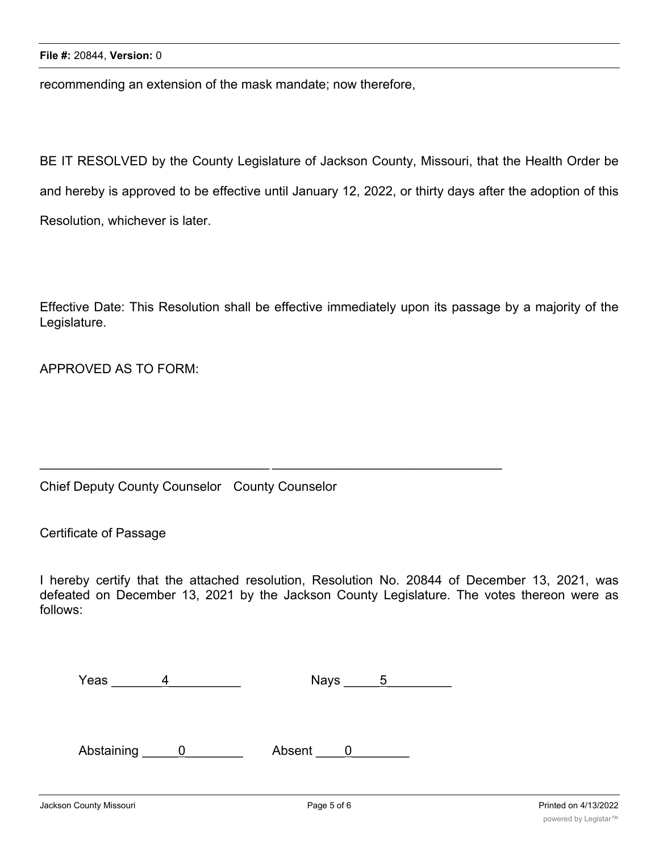recommending an extension of the mask mandate; now therefore,

BE IT RESOLVED by the County Legislature of Jackson County, Missouri, that the Health Order be and hereby is approved to be effective until January 12, 2022, or thirty days after the adoption of this Resolution, whichever is later.

Effective Date: This Resolution shall be effective immediately upon its passage by a majority of the Legislature.

APPROVED AS TO FORM:

## Chief Deputy County Counselor County Counselor

Certificate of Passage

I hereby certify that the attached resolution, Resolution No. 20844 of December 13, 2021, was defeated on December 13, 2021 by the Jackson County Legislature. The votes thereon were as follows:

| Yeas | <b>Nays</b> |  |
|------|-------------|--|
|      |             |  |

\_\_\_\_\_\_\_\_\_\_\_\_\_\_\_\_\_\_\_\_\_\_\_\_\_\_\_\_\_\_\_\_ \_\_\_\_\_\_\_\_\_\_\_\_\_\_\_\_\_\_\_\_\_\_\_\_\_\_\_\_\_\_\_\_

Abstaining 0 Absent 0